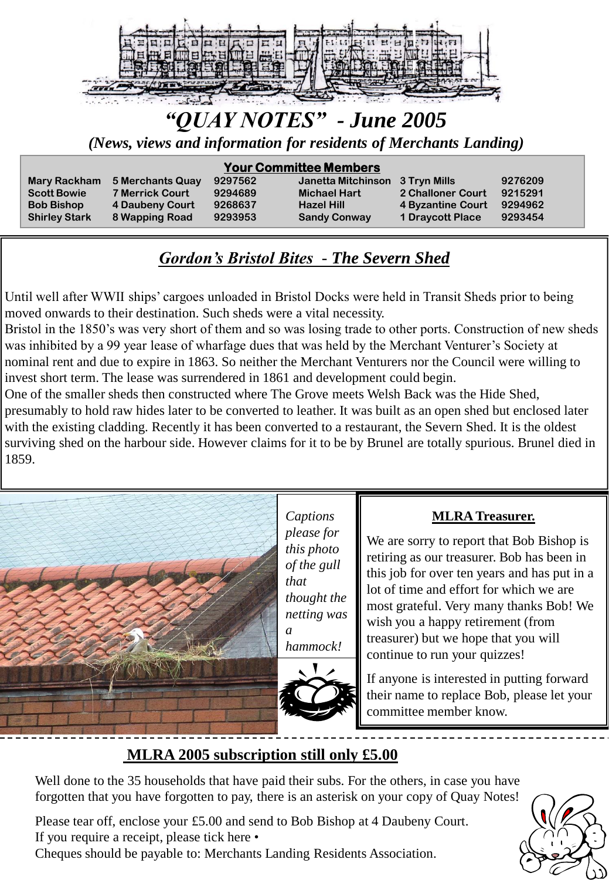

# *"QUAY NOTES" - June 2005*

*(News, views and information for residents of Merchants Landing)*

#### **Your Committee Members**

**Mary Rackham 5 Merchants Quay 9297562 Janetta Mitchinson 3 Tryn Mills 9276209 Scott Bowie 7 Merrick Court 9294689 Michael Hart 2 Challoner Court 9215291 Bob Bishop 4 Daubeny Court 9268637 Hazel Hill 4 Byzantine Court 9294962 Shirley Stark 8 Wapping Road 9293953 Sandy Conway 1 Draycott Place 9293454**

### *Gordon's Bristol Bites - The Severn Shed*

Until well after WWII ships' cargoes unloaded in Bristol Docks were held in Transit Sheds prior to being moved onwards to their destination. Such sheds were a vital necessity.

Bristol in the 1850's was very short of them and so was losing trade to other ports. Construction of new sheds was inhibited by a 99 year lease of wharfage dues that was held by the Merchant Venturer's Society at nominal rent and due to expire in 1863. So neither the Merchant Venturers nor the Council were willing to invest short term. The lease was surrendered in 1861 and development could begin.

One of the smaller sheds then constructed where The Grove meets Welsh Back was the Hide Shed, presumably to hold raw hides later to be converted to leather. It was built as an open shed but enclosed later with the existing cladding. Recently it has been converted to a restaurant, the Severn Shed. It is the oldest surviving shed on the harbour side. However claims for it to be by Brunel are totally spurious. Brunel died in 1859.



*Captions please for this photo of the gull that thought the netting was a* 



*hammock!*

#### **MLRA Treasurer.**

We are sorry to report that Bob Bishop is retiring as our treasurer. Bob has been in this job for over ten years and has put in a lot of time and effort for which we are most grateful. Very many thanks Bob! We wish you a happy retirement (from treasurer) but we hope that you will continue to run your quizzes!

If anyone is interested in putting forward their name to replace Bob, please let your committee member know.

#### **MLRA 2005 subscription still only £5.00**

Well done to the 35 households that have paid their subs. For the others, in case you have forgotten that you have forgotten to pay, there is an asterisk on your copy of Quay Notes!

Please tear off, enclose your £5.00 and send to Bob Bishop at 4 Daubeny Court. If you require a receipt, please tick here • Cheques should be payable to: Merchants Landing Residents Association.